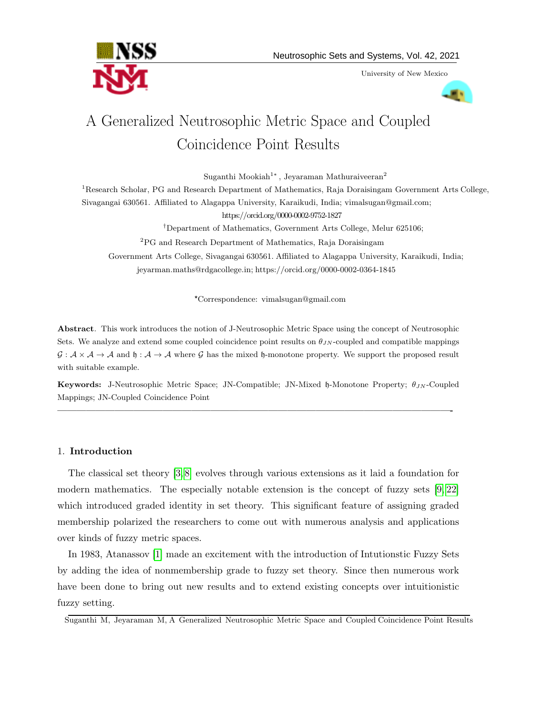University of New Mexico



# A Generalized Neutrosophic Metric Space and Coupled Coincidence Point Results

Suganthi Mookiah<sup>1</sup><sup>∗</sup>, Jeyaraman Mathuraiveeran<sup>2</sup>

<sup>1</sup>Research Scholar, PG and Research Department of Mathematics, Raja Doraisingam Government Arts College, Sivagangai 630561. Affiliated to Alagappa University, Karaikudi, India; vimalsugan@gmail.com; https://orcid.org/0000-0002-9752-1827 †Department of Mathematics, Government Arts College, Melur 625106; <sup>2</sup>PG and Research Department of Mathematics, Raja Doraisingam

Government Arts College, Sivagangai 630561. Affiliated to Alagappa University, Karaikudi, India; jeyarman.maths@rdgacollege.in; https://orcid.org/0000-0002-0364-1845

\*Correspondence: vimalsugan@gmail.com

Abstract. This work introduces the notion of J-Neutrosophic Metric Space using the concept of Neutrosophic Sets. We analyze and extend some coupled coincidence point results on  $\theta_{JN}$ -coupled and compatible mappings  $\mathcal{G}: \mathcal{A} \times \mathcal{A} \to \mathcal{A}$  and  $\mathfrak{h}: \mathcal{A} \to \mathcal{A}$  where  $\mathcal{G}$  has the mixed  $\mathfrak{h}$ -monotone property. We support the proposed result with suitable example.

Keywords: J-Neutrosophic Metric Space; JN-Compatible; JN-Mixed h-Monotone Property;  $\theta_{JN}$ -Coupled Mappings; JN-Coupled Coincidence Point

—————————————————————————————————————————-

# 1. Introduction

The classical set theory [\[3,](#page-15-0) [8\]](#page-16-0) evolves through various extensions as it laid a foundation for modern mathematics. The especially notable extension is the concept of fuzzy sets [\[9,](#page-16-1) [22\]](#page-16-2) which introduced graded identity in set theory. This significant feature of assigning graded membership polarized the researchers to come out with numerous analysis and applications over kinds of fuzzy metric spaces.

In 1983, Atanassov [\[1\]](#page-15-1) made an excitement with the introduction of Intutionstic Fuzzy Sets by adding the idea of nonmembership grade to fuzzy set theory. Since then numerous work have been done to bring out new results and to extend existing concepts over intuitionistic fuzzy setting.

Suganthi M, Jeyaraman M, A Generalized Neutrosophic Metric Space and Coupled Coincidence Point Results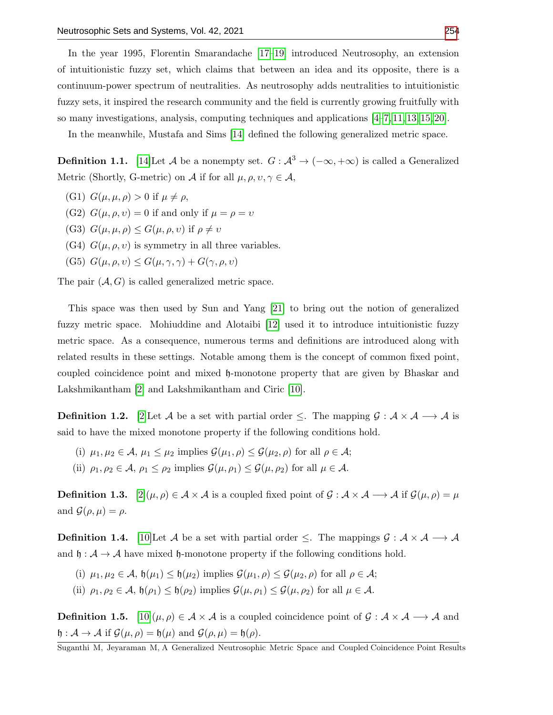In the year 1995, Florentin Smarandache [\[17](#page-16-4)[–19\]](#page-16-5) introduced Neutrosophy, an extension of intuitionistic fuzzy set, which claims that between an idea and its opposite, there is a continuum-power spectrum of neutralities. As neutrosophy adds neutralities to intuitionistic fuzzy sets, it inspired the research community and the field is currently growing fruitfully with so many investigations, analysis, computing techniques and applications [\[4–](#page-15-2)[7,](#page-16-6) [11,](#page-16-7) [13,](#page-16-8) [15,](#page-16-9) [20\]](#page-16-10).

In the meanwhile, Mustafa and Sims [\[14\]](#page-16-11) defined the following generalized metric space.

**Definition 1.1.** [\[14\]](#page-16-11)Let A be a nonempty set.  $G : \mathcal{A}^3 \to (-\infty, +\infty)$  is called a Generalized Metric (Shortly, G-metric) on A if for all  $\mu, \rho, \nu, \gamma \in \mathcal{A}$ ,

- (G1)  $G(\mu, \mu, \rho) > 0$  if  $\mu \neq \rho$ ,
- (G2)  $G(\mu, \rho, v) = 0$  if and only if  $\mu = \rho = v$
- (G3)  $G(\mu, \mu, \rho) \leq G(\mu, \rho, \nu)$  if  $\rho \neq \nu$
- (G4)  $G(\mu, \rho, v)$  is symmetry in all three variables.
- (G5)  $G(\mu, \rho, v) \leq G(\mu, \gamma, \gamma) + G(\gamma, \rho, v)$

The pair  $(A, G)$  is called generalized metric space.

This space was then used by Sun and Yang [\[21\]](#page-16-12) to bring out the notion of generalized fuzzy metric space. Mohiuddine and Alotaibi [\[12\]](#page-16-13) used it to introduce intuitionistic fuzzy metric space. As a consequence, numerous terms and definitions are introduced along with related results in these settings. Notable among them is the concept of common fixed point, coupled coincidence point and mixed h-monotone property that are given by Bhaskar and Lakshmikantham [\[2\]](#page-15-3) and Lakshmikantham and Ciric [\[10\]](#page-16-14).

**Definition 1.2.** [\[2\]](#page-15-3)Let A be a set with partial order  $\leq$ . The mapping  $\mathcal{G} : \mathcal{A} \times \mathcal{A} \longrightarrow \mathcal{A}$  is said to have the mixed monotone property if the following conditions hold.

- (i)  $\mu_1, \mu_2 \in \mathcal{A}, \mu_1 \leq \mu_2$  implies  $\mathcal{G}(\mu_1, \rho) \leq \mathcal{G}(\mu_2, \rho)$  for all  $\rho \in \mathcal{A}$ ;
- (ii)  $\rho_1, \rho_2 \in \mathcal{A}, \rho_1 \leq \rho_2$  implies  $\mathcal{G}(\mu, \rho_1) \leq \mathcal{G}(\mu, \rho_2)$  for all  $\mu \in \mathcal{A}$ .

**Definition 1.3.**  $[2](\mu, \rho) \in \mathcal{A} \times \mathcal{A}$  $[2](\mu, \rho) \in \mathcal{A} \times \mathcal{A}$  is a coupled fixed point of  $\mathcal{G} : \mathcal{A} \times \mathcal{A} \longrightarrow \mathcal{A}$  if  $\mathcal{G}(\mu, \rho) = \mu$ and  $\mathcal{G}(\rho,\mu) = \rho$ .

**Definition 1.4.** [\[10\]](#page-16-14)Let A be a set with partial order  $\leq$ . The mappings  $\mathcal{G}: A \times A \longrightarrow A$ and  $\mathfrak{h} : \mathcal{A} \to \mathcal{A}$  have mixed  $\mathfrak{h}$ -monotone property if the following conditions hold.

- (i)  $\mu_1, \mu_2 \in \mathcal{A}$ ,  $\mathfrak{h}(\mu_1) \leq \mathfrak{h}(\mu_2)$  implies  $\mathcal{G}(\mu_1, \rho) \leq \mathcal{G}(\mu_2, \rho)$  for all  $\rho \in \mathcal{A}$ ;
- (ii)  $\rho_1, \rho_2 \in \mathcal{A}, \mathfrak{h}(\rho_1) \leq \mathfrak{h}(\rho_2)$  implies  $\mathcal{G}(\mu, \rho_1) \leq \mathcal{G}(\mu, \rho_2)$  for all  $\mu \in \mathcal{A}$ .

**Definition 1.5.**  $[10](\mu, \rho) \in \mathcal{A} \times \mathcal{A}$  $[10](\mu, \rho) \in \mathcal{A} \times \mathcal{A}$  is a coupled coincidence point of  $\mathcal{G} : \mathcal{A} \times \mathcal{A} \longrightarrow \mathcal{A}$  and  $\mathfrak{h} : \mathcal{A} \to \mathcal{A}$  if  $\mathcal{G}(\mu, \rho) = \mathfrak{h}(\mu)$  and  $\mathcal{G}(\rho, \mu) = \mathfrak{h}(\rho)$ .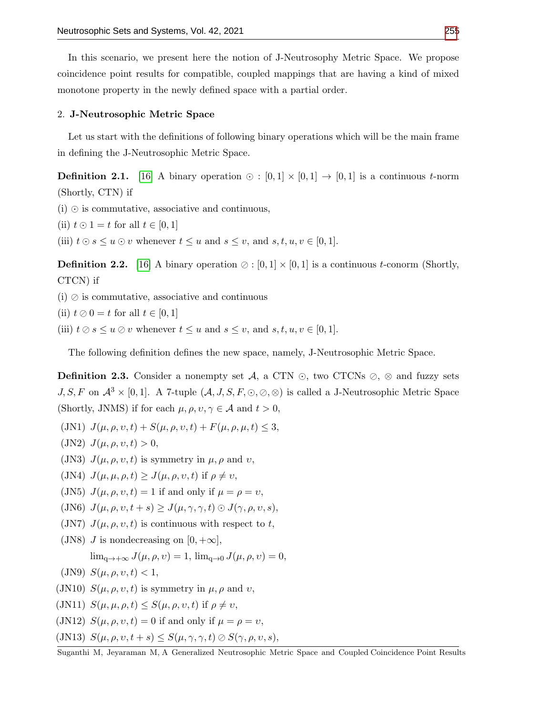In this scenario, we present here the notion of J-Neutrosophy Metric Space. We propose coincidence point results for compatible, coupled mappings that are having a kind of mixed monotone property in the newly defined space with a partial order.

## 2. J-Neutrosophic Metric Space

Let us start with the definitions of following binary operations which will be the main frame in defining the J-Neutrosophic Metric Space.

**Definition 2.1.** [\[16\]](#page-16-15) A binary operation  $\odot$  :  $[0,1] \times [0,1] \rightarrow [0,1]$  is a continuous *t*-norm (Shortly, CTN) if

 $(i)$   $\odot$  is commutative, associative and continuous,

(ii)  $t \odot 1 = t$  for all  $t \in [0,1]$ 

(iii)  $t \odot s \leq u \odot v$  whenever  $t \leq u$  and  $s \leq v$ , and  $s, t, u, v \in [0, 1]$ .

**Definition 2.2.** [\[16\]](#page-16-15) A binary operation  $\oslash$  : [0, 1]  $\times$  [0, 1] is a continuous *t*-conorm (Shortly, CTCN) if

 $(i)$   $\oslash$  is commutative, associative and continuous

(ii)  $t \oslash 0 = t$  for all  $t \in [0, 1]$ 

(iii)  $t \oslash s \leq u \oslash v$  whenever  $t \leq u$  and  $s \leq v$ , and  $s, t, u, v \in [0, 1]$ .

The following definition defines the new space, namely, J-Neutrosophic Metric Space.

**Definition 2.3.** Consider a nonempty set  $\mathcal{A}$ , a CTN  $\odot$ , two CTCNs  $\oslash$ ,  $\otimes$  and fuzzy sets J, S, F on  $\mathcal{A}^3 \times [0,1]$ . A 7-tuple  $(\mathcal{A}, J, S, F, \odot, \odot, \odot)$  is called a J-Neutrosophic Metric Space (Shortly, JNMS) if for each  $\mu, \rho, \nu, \gamma \in \mathcal{A}$  and  $t > 0$ ,

- (JN1)  $J(\mu, \rho, v, t) + S(\mu, \rho, v, t) + F(\mu, \rho, \mu, t) \leq 3$ ,
- (JN2)  $J(\mu, \rho, v, t) > 0$ ,
- (JN3)  $J(\mu, \rho, v, t)$  is symmetry in  $\mu, \rho$  and v,
- (JN4)  $J(\mu, \mu, \rho, t) \geq J(\mu, \rho, v, t)$  if  $\rho \neq v$ ,
- (JN5)  $J(\mu, \rho, v, t) = 1$  if and only if  $\mu = \rho = v$ ,
- (JN6)  $J(\mu, \rho, v, t + s) \geq J(\mu, \gamma, \gamma, t) \odot J(\gamma, \rho, v, s),$
- (JN7)  $J(\mu, \rho, v, t)$  is continuous with respect to t,
- (JN8) *J* is nondecreasing on  $[0, +\infty]$ ,  $\lim_{\alpha\to+\infty} J(\mu,\rho,\nu) = 1$ ,  $\lim_{\alpha\to 0} J(\mu,\rho,\nu) = 0$ ,
- (JN9)  $S(\mu, \rho, v, t) < 1$ ,
- (JN10)  $S(\mu, \rho, v, t)$  is symmetry in  $\mu, \rho$  and v,
- (JN11)  $S(\mu, \mu, \rho, t) \leq S(\mu, \rho, v, t)$  if  $\rho \neq v$ ,
- (JN12)  $S(\mu, \rho, v, t) = 0$  if and only if  $\mu = \rho = v$ ,
- (JN13)  $S(\mu, \rho, \nu, t + s) \leq S(\mu, \gamma, \gamma, t) \oslash S(\gamma, \rho, \nu, s),$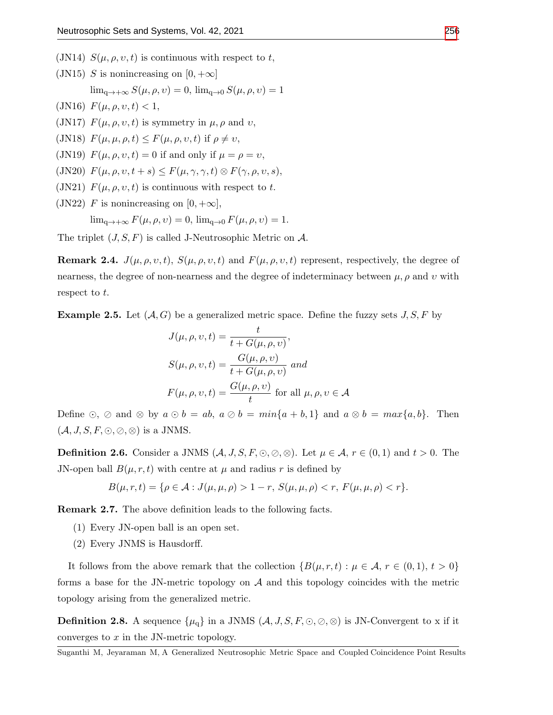- (JN14)  $S(\mu, \rho, v, t)$  is continuous with respect to t,
- (JN15) S is nonincreasing on  $[0, +\infty]$

 $\lim_{\alpha\to+\infty} S(\mu,\rho,\nu) = 0$ ,  $\lim_{\alpha\to 0} S(\mu,\rho,\nu) = 1$ 

(JN16)  $F(\mu, \rho, v, t) < 1$ ,

(JN17)  $F(\mu, \rho, v, t)$  is symmetry in  $\mu, \rho$  and v,

- (JN18)  $F(\mu, \mu, \rho, t) \leq F(\mu, \rho, v, t)$  if  $\rho \neq v$ ,
- (JN19)  $F(\mu, \rho, v, t) = 0$  if and only if  $\mu = \rho = v$ ,
- (JN20)  $F(\mu, \rho, v, t + s) \leq F(\mu, \gamma, \gamma, t) \otimes F(\gamma, \rho, v, s),$
- (JN21)  $F(\mu, \rho, v, t)$  is continuous with respect to t.
- (JN22) F is nonincreasing on  $[0, +\infty]$ ,

 $\lim_{\mathbf{q}\to\mathbf{+\infty}} F(\mu,\rho,\nu) = 0$ ,  $\lim_{\mathbf{q}\to 0} F(\mu,\rho,\nu) = 1$ .

The triplet  $(J, S, F)$  is called J-Neutrosophic Metric on A.

**Remark 2.4.**  $J(\mu, \rho, v, t)$ ,  $S(\mu, \rho, v, t)$  and  $F(\mu, \rho, v, t)$  represent, respectively, the degree of nearness, the degree of non-nearness and the degree of indeterminacy between  $\mu$ ,  $\rho$  and  $\upsilon$  with respect to t.

<span id="page-3-0"></span>**Example 2.5.** Let  $(A, G)$  be a generalized metric space. Define the fuzzy sets  $J, S, F$  by

$$
J(\mu, \rho, v, t) = \frac{t}{t + G(\mu, \rho, v)},
$$
  
\n
$$
S(\mu, \rho, v, t) = \frac{G(\mu, \rho, v)}{t + G(\mu, \rho, v)} \text{ and}
$$
  
\n
$$
F(\mu, \rho, v, t) = \frac{G(\mu, \rho, v)}{t} \text{ for all } \mu, \rho, v \in \mathcal{A}
$$

Define  $\odot$ ,  $\oslash$  and  $\otimes$  by  $a \odot b = ab$ ,  $a \oslash b = min\{a + b, 1\}$  and  $a \otimes b = max\{a, b\}$ . Then  $(\mathcal{A}, J, S, F, \odot, \odot, \otimes)$  is a JNMS.

**Definition 2.6.** Consider a JNMS  $(A, J, S, F, \odot, \oslash, \oslash)$ . Let  $\mu \in A$ ,  $r \in (0, 1)$  and  $t > 0$ . The JN-open ball  $B(\mu, r, t)$  with centre at  $\mu$  and radius r is defined by

$$
B(\mu, r, t) = \{ \rho \in \mathcal{A} : J(\mu, \mu, \rho) > 1 - r, S(\mu, \mu, \rho) < r, F(\mu, \mu, \rho) < r \}.
$$

Remark 2.7. The above definition leads to the following facts.

- (1) Every JN-open ball is an open set.
- (2) Every JNMS is Hausdorff.

It follows from the above remark that the collection  $\{B(\mu, r,t): \mu \in \mathcal{A}, r \in (0,1), t > 0\}$ forms a base for the JN-metric topology on  $A$  and this topology coincides with the metric topology arising from the generalized metric.

**Definition 2.8.** A sequence  $\{\mu_q\}$  in a JNMS  $(A, J, S, F, \odot, \odot, \odot)$  is JN-Convergent to x if it converges to  $x$  in the JN-metric topology.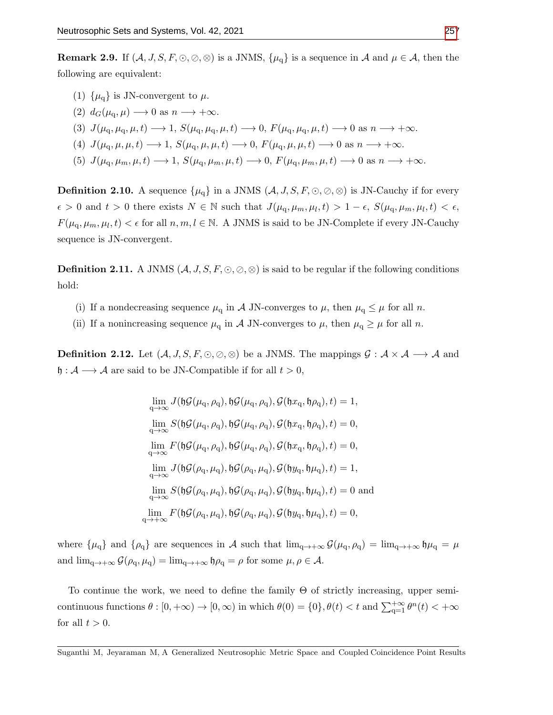- (1)  $\{\mu_{\alpha}\}\$ is JN-convergent to  $\mu$ .
- (2)  $d_G(\mu_{\alpha}, \mu) \longrightarrow 0$  as  $n \longrightarrow +\infty$ .
- (3)  $J(\mu_{\rm q}, \mu_{\rm q}, \mu, t) \longrightarrow 1$ ,  $S(\mu_{\rm q}, \mu_{\rm q}, \mu, t) \longrightarrow 0$ ,  $F(\mu_{\rm q}, \mu_{\rm q}, \mu, t) \longrightarrow 0$  as  $n \longrightarrow +\infty$ .
- (4)  $J(\mu_{\alpha}, \mu, \mu, t) \longrightarrow 1$ ,  $S(\mu_{\alpha}, \mu, \mu, t) \longrightarrow 0$ ,  $F(\mu_{\alpha}, \mu, \mu, t) \longrightarrow 0$  as  $n \longrightarrow +\infty$ .
- (5)  $J(\mu_{\rm q}, \mu_{m}, \mu, t) \longrightarrow 1$ ,  $S(\mu_{\rm q}, \mu_{m}, \mu, t) \longrightarrow 0$ ,  $F(\mu_{\rm q}, \mu_{m}, \mu, t) \longrightarrow 0$  as  $n \longrightarrow +\infty$ .

**Definition 2.10.** A sequence  $\{\mu_q\}$  in a JNMS  $(A, J, S, F, \odot, \odot, \odot)$  is JN-Cauchy if for every  $\epsilon > 0$  and  $t > 0$  there exists  $N \in \mathbb{N}$  such that  $J(\mu_{\rm q}, \mu_{m}, \mu_{l}, t) > 1 - \epsilon$ ,  $S(\mu_{\rm q}, \mu_{m}, \mu_{l}, t) < \epsilon$ ,  $F(\mu_{\rm q}, \mu_{\rm m}, \mu_l, t) < \epsilon$  for all  $n, m, l \in \mathbb{N}$ . A JNMS is said to be JN-Complete if every JN-Cauchy sequence is JN-convergent.

Definition 2.11. A JNMS (A, J, S, F, , , ⊗) is said to be regular if the following conditions hold:

- (i) If a nondecreasing sequence  $\mu_q$  in A JN-converges to  $\mu$ , then  $\mu_q \leq \mu$  for all n.
- (ii) If a nonincreasing sequence  $\mu_q$  in A JN-converges to  $\mu$ , then  $\mu_q \geq \mu$  for all n.

**Definition 2.12.** Let  $(A, J, S, F, \odot, \odot)$  be a JNMS. The mappings  $G : A \times A \longrightarrow A$  and  $\mathfrak{h}: \mathcal{A} \longrightarrow \mathcal{A}$  are said to be JN-Compatible if for all  $t > 0$ ,

$$
\lim_{q \to \infty} J(\mathfrak{h}\mathcal{G}(\mu_q, \rho_q), \mathfrak{h}\mathcal{G}(\mu_q, \rho_q), \mathcal{G}(\mathfrak{h}x_q, \mathfrak{h}\rho_q), t) = 1,
$$
\n
$$
\lim_{q \to \infty} S(\mathfrak{h}\mathcal{G}(\mu_q, \rho_q), \mathfrak{h}\mathcal{G}(\mu_q, \rho_q), \mathcal{G}(\mathfrak{h}x_q, \mathfrak{h}\rho_q), t) = 0,
$$
\n
$$
\lim_{q \to \infty} F(\mathfrak{h}\mathcal{G}(\mu_q, \rho_q), \mathfrak{h}\mathcal{G}(\mu_q, \rho_q), \mathcal{G}(\mathfrak{h}x_q, \mathfrak{h}\rho_q), t) = 0,
$$
\n
$$
\lim_{q \to \infty} J(\mathfrak{h}\mathcal{G}(\rho_q, \mu_q), \mathfrak{h}\mathcal{G}(\rho_q, \mu_q), \mathcal{G}(\mathfrak{h}y_q, \mathfrak{h}\mu_q), t) = 1,
$$
\n
$$
\lim_{q \to \infty} S(\mathfrak{h}\mathcal{G}(\rho_q, \mu_q), \mathfrak{h}\mathcal{G}(\rho_q, \mu_q), \mathcal{G}(\mathfrak{h}y_q, \mathfrak{h}\mu_q), t) = 0
$$
and\n
$$
\lim_{q \to +\infty} F(\mathfrak{h}\mathcal{G}(\rho_q, \mu_q), \mathfrak{h}\mathcal{G}(\rho_q, \mu_q), \mathcal{G}(\mathfrak{h}y_q, \mathfrak{h}\mu_q), t) = 0,
$$

where  $\{\mu_q\}$  and  $\{\rho_q\}$  are sequences in A such that  $\lim_{q\to+\infty} \mathcal{G}(\mu_q, \rho_q) = \lim_{q\to+\infty} \mathfrak{h}\mu_q = \mu$ and  $\lim_{q\to+\infty} \mathcal{G}(\rho_q, \mu_q) = \lim_{q\to+\infty} \mathfrak{h}\rho_q = \rho$  for some  $\mu, \rho \in \mathcal{A}$ .

To continue the work, we need to define the family  $\Theta$  of strictly increasing, upper semicontinuous functions  $\theta : [0, +\infty) \to [0, \infty)$  in which  $\theta(0) = \{0\}, \theta(t) < t$  and  $\sum_{q=1}^{+\infty} \theta^n(t) < +\infty$ for all  $t > 0$ .

Suganthi M, Jeyaraman M, A Generalized Neutrosophic Metric Space and Coupled Coincidence Point Results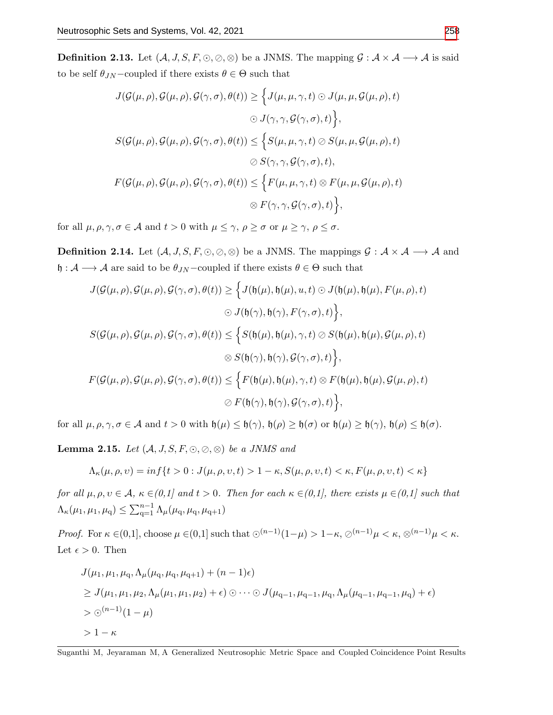**Definition 2.13.** Let  $(A, J, S, F, \odot, \odot)$  be a JNMS. The mapping  $G : A \times A \longrightarrow A$  is said to be self  $\theta_{JN}$  –coupled if there exists  $\theta \in \Theta$  such that

$$
J(\mathcal{G}(\mu, \rho), \mathcal{G}(\mu, \rho), \mathcal{G}(\gamma, \sigma), \theta(t)) \geq \Big\{ J(\mu, \mu, \gamma, t) \odot J(\mu, \mu, \mathcal{G}(\mu, \rho), t) \odot J(\gamma, \gamma, \mathcal{G}(\gamma, \sigma), t) \Big\}, \nS(\mathcal{G}(\mu, \rho), \mathcal{G}(\mu, \rho), \mathcal{G}(\gamma, \sigma), \theta(t)) \leq \Big\{ S(\mu, \mu, \gamma, t) \oslash S(\mu, \mu, \mathcal{G}(\mu, \rho), t) \oslash S(\gamma, \gamma, \mathcal{G}(\gamma, \sigma), t), \nF(\mathcal{G}(\mu, \rho), \mathcal{G}(\mu, \rho), \mathcal{G}(\gamma, \sigma), \theta(t)) \leq \Big\{ F(\mu, \mu, \gamma, t) \otimes F(\mu, \mu, \mathcal{G}(\mu, \rho), t) \oslash F(\gamma, \gamma, \mathcal{G}(\gamma, \sigma), t) \Big\},
$$

for all  $\mu, \rho, \gamma, \sigma \in \mathcal{A}$  and  $t > 0$  with  $\mu \leq \gamma$ ,  $\rho \geq \sigma$  or  $\mu \geq \gamma$ ,  $\rho \leq \sigma$ .

**Definition 2.14.** Let  $(A, J, S, F, \odot, \odot, \odot)$  be a JNMS. The mappings  $G : A \times A \longrightarrow A$  and  $\mathfrak{h} : \mathcal{A} \longrightarrow \mathcal{A}$  are said to be  $\theta_{JN}$  –coupled if there exists  $\theta \in \Theta$  such that

$$
J(\mathcal{G}(\mu,\rho),\mathcal{G}(\mu,\rho),\mathcal{G}(\gamma,\sigma),\theta(t)) \geq \Big\{ J(\mathfrak{h}(\mu),\mathfrak{h}(\mu),u,t) \odot J(\mathfrak{h}(\mu),\mathfrak{h}(\mu),F(\mu,\rho),t) \Big\}
$$

$$
\odot J(\mathfrak{h}(\gamma),\mathfrak{h}(\gamma),F(\gamma,\sigma),t) \Big\},
$$

$$
S(\mathcal{G}(\mu,\rho),\mathcal{G}(\mu,\rho),\mathcal{G}(\gamma,\sigma),\theta(t)) \leq \Big\{ S(\mathfrak{h}(\mu),\mathfrak{h}(\mu),\gamma,t) \oslash S(\mathfrak{h}(\mu),\mathfrak{h}(\mu),\mathcal{G}(\mu,\rho),t) \Big\}
$$

$$
\otimes S(\mathfrak{h}(\gamma),\mathfrak{h}(\gamma),\mathcal{G}(\gamma,\sigma),t) \Big\},
$$

$$
F(\mathcal{G}(\mu,\rho),\mathcal{G}(\mu,\rho),\mathcal{G}(\gamma,\sigma),\theta(t)) \leq \Big\{ F(\mathfrak{h}(\mu),\mathfrak{h}(\mu),\gamma,t) \otimes F(\mathfrak{h}(\mu),\mathfrak{h}(\mu),\mathcal{G}(\mu,\rho),t) \Big\}
$$

$$
\oslash F(\mathfrak{h}(\gamma),\mathfrak{h}(\gamma),\mathcal{G}(\gamma,\sigma),t) \Big\},
$$

for all  $\mu, \rho, \gamma, \sigma \in \mathcal{A}$  and  $t > 0$  with  $\mathfrak{h}(\mu) \leq \mathfrak{h}(\gamma)$ ,  $\mathfrak{h}(\rho) \geq \mathfrak{h}(\sigma)$  or  $\mathfrak{h}(\mu) \geq \mathfrak{h}(\gamma)$ ,  $\mathfrak{h}(\rho) \leq \mathfrak{h}(\sigma)$ .

<span id="page-5-0"></span>**Lemma 2.15.** Let  $(A, J, S, F, \odot, \odot, \otimes)$  be a JNMS and

$$
\Lambda_{\kappa}(\mu,\rho,\upsilon)=\inf\{t>0: J(\mu,\rho,\upsilon,t)>1-\kappa, S(\mu,\rho,\upsilon,t)<\kappa, F(\mu,\rho,\upsilon,t)<\kappa\}
$$

for all  $\mu, \rho, \nu \in \mathcal{A}, \ \kappa \in (0,1]$  and  $t > 0$ . Then for each  $\kappa \in (0,1]$ , there exists  $\mu \in (0,1]$  such that  $\Lambda_{\kappa}(\mu_1, \mu_1, \mu_q) \leq \sum_{q=1}^{n-1} \Lambda_{\mu}(\mu_q, \mu_q, \mu_{q+1})$ 

*Proof.* For  $\kappa \in (0,1]$ , choose  $\mu \in (0,1]$  such that  $\odot^{(n-1)}(1-\mu) > 1-\kappa$ ,  $\oslash^{(n-1)}\mu < \kappa$ ,  $\otimes^{(n-1)}\mu < \kappa$ . Let  $\epsilon > 0$ . Then

$$
J(\mu_1, \mu_1, \mu_q, \Lambda_\mu(\mu_q, \mu_q, \mu_{q+1}) + (n-1)\epsilon)
$$
  
\n
$$
\geq J(\mu_1, \mu_1, \mu_2, \Lambda_\mu(\mu_1, \mu_1, \mu_2) + \epsilon) \odot \cdots \odot J(\mu_{q-1}, \mu_{q-1}, \mu_q, \Lambda_\mu(\mu_{q-1}, \mu_{q-1}, \mu_q) + \epsilon)
$$
  
\n
$$
> \odot^{(n-1)} (1-\mu)
$$
  
\n
$$
> 1 - \kappa
$$

Suganthi M, Jeyaraman M, A Generalized Neutrosophic Metric Space and Coupled Coincidence Point Results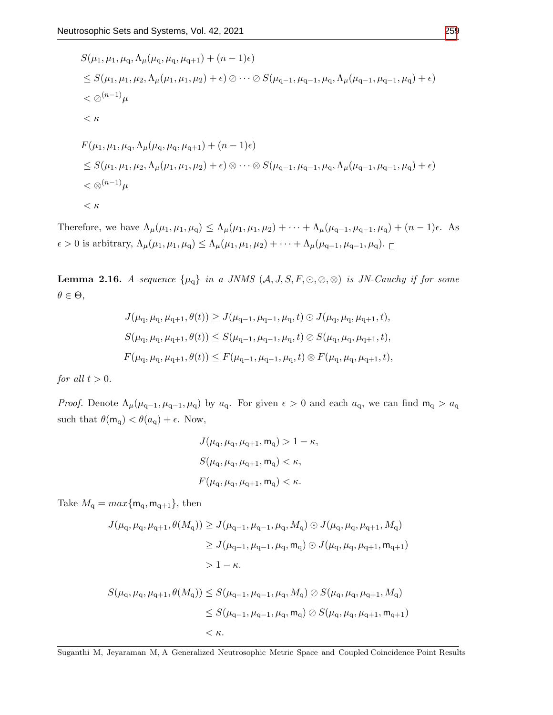$$
S(\mu_1, \mu_1, \mu_q, \Lambda_\mu(\mu_q, \mu_q, \mu_{q+1}) + (n-1)\epsilon)
$$
  
\n
$$
\leq S(\mu_1, \mu_1, \mu_2, \Lambda_\mu(\mu_1, \mu_1, \mu_2) + \epsilon) \oslash \cdots \oslash S(\mu_{q-1}, \mu_{q-1}, \mu_q, \Lambda_\mu(\mu_{q-1}, \mu_{q-1}, \mu_q) + \epsilon)
$$
  
\n
$$
< \oslash^{(n-1)} \mu
$$
  
\n
$$
< \kappa
$$
  
\n
$$
F(\mu_1, \mu_1, \mu_q, \Lambda_\mu(\mu_q, \mu_q, \mu_{q+1}) + (n-1)\epsilon)
$$
  
\n
$$
\leq S(\mu_1, \mu_1, \mu_2, \Lambda_\mu(\mu_1, \mu_1, \mu_2) + \epsilon) \otimes \cdots \otimes S(\mu_{q-1}, \mu_{q-1}, \mu_q, \Lambda_\mu(\mu_{q-1}, \mu_{q-1}, \mu_q) + \epsilon)
$$
  
\n
$$
< \oslash^{(n-1)} \mu
$$
  
\n
$$
< \kappa
$$

Therefore, we have  $\Lambda_{\mu}(\mu_1, \mu_1, \mu_q) \leq \Lambda_{\mu}(\mu_1, \mu_1, \mu_2) + \cdots + \Lambda_{\mu}(\mu_{q-1}, \mu_{q-1}, \mu_q) + (n-1)\epsilon$ . As  $\epsilon > 0$  is arbitrary,  $\Lambda_{\mu}(\mu_1, \mu_1, \mu_q) \leq \Lambda_{\mu}(\mu_1, \mu_1, \mu_2) + \cdots + \Lambda_{\mu}(\mu_{q-1}, \mu_{q-1}, \mu_q)$ .

<span id="page-6-0"></span>**Lemma 2.16.** A sequence  $\{\mu_q\}$  in a JNMS  $(A, J, S, F, \odot, \odot, \otimes)$  is JN-Cauchy if for some  $\theta \in \Theta$ ,

$$
J(\mu_{\mathbf{q}}, \mu_{\mathbf{q}}, \mu_{\mathbf{q+1}}, \theta(t)) \ge J(\mu_{\mathbf{q-1}}, \mu_{\mathbf{q-1}}, \mu_{\mathbf{q}}, t) \odot J(\mu_{\mathbf{q}}, \mu_{\mathbf{q}}, \mu_{\mathbf{q+1}}, t),
$$
  

$$
S(\mu_{\mathbf{q}}, \mu_{\mathbf{q}}, \mu_{\mathbf{q+1}}, \theta(t)) \le S(\mu_{\mathbf{q-1}}, \mu_{\mathbf{q-1}}, \mu_{\mathbf{q}}, t) \oslash S(\mu_{\mathbf{q}}, \mu_{\mathbf{q}}, \mu_{\mathbf{q+1}}, t),
$$
  

$$
F(\mu_{\mathbf{q}}, \mu_{\mathbf{q}}, \mu_{\mathbf{q+1}}, \theta(t)) \le F(\mu_{\mathbf{q-1}}, \mu_{\mathbf{q-1}}, \mu_{\mathbf{q}}, t) \otimes F(\mu_{\mathbf{q}}, \mu_{\mathbf{q}}, \mu_{\mathbf{q+1}}, t),
$$

for all  $t > 0$ .

*Proof.* Denote  $\Lambda_{\mu}(\mu_{q-1}, \mu_{q-1}, \mu_q)$  by  $a_q$ . For given  $\epsilon > 0$  and each  $a_q$ , we can find  $m_q > a_q$ such that  $\theta(\mathsf{m}_q) < \theta(a_q) + \epsilon$ . Now,

$$
J(\mu_{\mathbf{q}}, \mu_{\mathbf{q}}, \mu_{\mathbf{q+1}}, \mathbf{m}_{\mathbf{q}}) > 1 - \kappa,
$$
  

$$
S(\mu_{\mathbf{q}}, \mu_{\mathbf{q}}, \mu_{\mathbf{q+1}}, \mathbf{m}_{\mathbf{q}}) < \kappa,
$$
  

$$
F(\mu_{\mathbf{q}}, \mu_{\mathbf{q}}, \mu_{\mathbf{q+1}}, \mathbf{m}_{\mathbf{q}}) < \kappa.
$$

Take  $M_{\mathbf{q}} = max\{ \mathsf{m}_{\mathbf{q}}, \mathsf{m}_{\mathbf{q}+1} \},\$  then

$$
J(\mu_{\mathbf{q}}, \mu_{\mathbf{q}}, \mu_{\mathbf{q}+1}, \theta(M_{\mathbf{q}})) \ge J(\mu_{\mathbf{q}-1}, \mu_{\mathbf{q}-1}, \mu_{\mathbf{q}}, M_{\mathbf{q}}) \odot J(\mu_{\mathbf{q}}, \mu_{\mathbf{q}}, \mu_{\mathbf{q}+1}, M_{\mathbf{q}})
$$
  
\n
$$
\ge J(\mu_{\mathbf{q}-1}, \mu_{\mathbf{q}-1}, \mu_{\mathbf{q}}, \mathbf{m}_{\mathbf{q}}) \odot J(\mu_{\mathbf{q}}, \mu_{\mathbf{q}}, \mu_{\mathbf{q}+1}, \mathbf{m}_{\mathbf{q}+1})
$$
  
\n
$$
> 1 - \kappa.
$$
  
\n
$$
S(\mu_{\mathbf{q}}, \mu_{\mathbf{q}}, \mu_{\mathbf{q}+1}, \theta(M_{\mathbf{q}})) \le S(\mu_{\mathbf{q}-1}, \mu_{\mathbf{q}-1}, \mu_{\mathbf{q}}, M_{\mathbf{q}}) \oslash S(\mu_{\mathbf{q}}, \mu_{\mathbf{q}}, \mu_{\mathbf{q}+1}, M_{\mathbf{q}})
$$

$$
\leq S(\mu_{\text{q}-1},\mu_{\text{q}-1},\mu_{\text{q}},\mathsf{m}_{\text{q}})\oslash S(\mu_{\text{q}},\mu_{\text{q}},\mu_{\text{q}+1},\mathsf{m}_{\text{q}+1})
$$

 $< \kappa$ .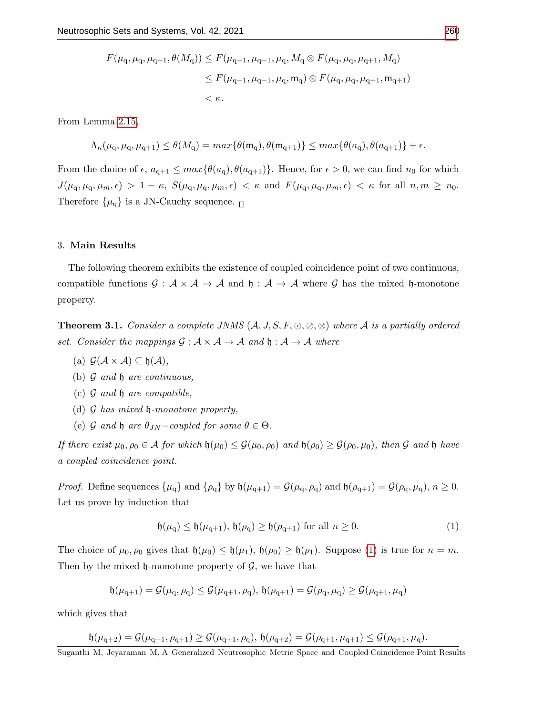$$
F(\mu_{\mathbf{q}}, \mu_{\mathbf{q}}, \mu_{\mathbf{q}+1}, \theta(M_{\mathbf{q}})) \le F(\mu_{\mathbf{q}-1}, \mu_{\mathbf{q}-1}, \mu_{\mathbf{q}}, M_{\mathbf{q}} \otimes F(\mu_{\mathbf{q}}, \mu_{\mathbf{q}}, \mu_{\mathbf{q}+1}, M_{\mathbf{q}})
$$
  

$$
\le F(\mu_{\mathbf{q}-1}, \mu_{\mathbf{q}-1}, \mu_{\mathbf{q}}, \mathbf{m}_{\mathbf{q}}) \otimes F(\mu_{\mathbf{q}}, \mu_{\mathbf{q}}, \mu_{\mathbf{q}+1}, \mathbf{m}_{\mathbf{q}+1})
$$
  
<  $\kappa$ .

From Lemma [2.15,](#page-5-0)

$$
\Lambda_{\kappa}(\mu_{\mathbf{q}}, \mu_{\mathbf{q}}, \mu_{\mathbf{q}+1}) \leq \theta(M_{\mathbf{q}}) = \max\{\theta(\mathbf{m}_{\mathbf{q}}), \theta(\mathbf{m}_{\mathbf{q}+1})\} \leq \max\{\theta(a_{\mathbf{q}}), \theta(a_{\mathbf{q}+1})\} + \epsilon.
$$

From the choice of  $\epsilon$ ,  $a_{q+1} \leq max{\lbrace \theta(a_q), \theta(a_{q+1}) \rbrace}$ . Hence, for  $\epsilon > 0$ , we can find  $n_0$  for which  $J(\mu_{\rm q}, \mu_{\rm q}, \mu_{m}, \epsilon) > 1 - \kappa$ ,  $S(\mu_{\rm q}, \mu_{\rm q}, \mu_{m}, \epsilon) < \kappa$  and  $F(\mu_{\rm q}, \mu_{\rm q}, \mu_{m}, \epsilon) < \kappa$  for all  $n, m \geq n_0$ . Therefore  $\{\mu_q\}$  is a JN-Cauchy sequence.  $\Box$ 

#### 3. Main Results

The following theorem exhibits the existence of coupled coincidence point of two continuous, compatible functions  $\mathcal{G}: \mathcal{A} \times \mathcal{A} \to \mathcal{A}$  and  $\mathfrak{h}: \mathcal{A} \to \mathcal{A}$  where  $\mathcal{G}$  has the mixed  $\mathfrak{h}$ -monotone property.

<span id="page-7-1"></span>**Theorem 3.1.** Consider a complete JNMS  $(A, J, S, F, \odot, \odot, \otimes)$  where A is a partially ordered set. Consider the mappings  $\mathcal{G} : \mathcal{A} \times \mathcal{A} \to \mathcal{A}$  and  $\mathfrak{h} : \mathcal{A} \to \mathcal{A}$  where

- (a)  $\mathcal{G}(\mathcal{A} \times \mathcal{A}) \subseteq \mathfrak{h}(\mathcal{A}),$
- (b)  $\mathcal G$  and  $\mathfrak h$  are continuous,
- (c)  $\mathcal G$  and  $\mathfrak h$  are compatible,
- (d)  $\mathcal G$  has mixed  $\mathfrak h$ -monotone property,
- (e) G and h are  $\theta_{JN}$  coupled for some  $\theta \in \Theta$ .

If there exist  $\mu_0, \rho_0 \in A$  for which  $\mathfrak{h}(\mu_0) \leq \mathcal{G}(\mu_0, \rho_0)$  and  $\mathfrak{h}(\rho_0) \geq \mathcal{G}(\rho_0, \mu_0)$ , then G and  $\mathfrak{h}$  have a coupled coincidence point.

*Proof.* Define sequences  $\{\mu_q\}$  and  $\{\rho_q\}$  by  $\mathfrak{h}(\mu_{q+1}) = \mathcal{G}(\mu_q, \rho_q)$  and  $\mathfrak{h}(\rho_{q+1}) = \mathcal{G}(\rho_q, \mu_q), n \geq 0$ . Let us prove by induction that

<span id="page-7-0"></span>
$$
\mathfrak{h}(\mu_{\mathbf{q}}) \le \mathfrak{h}(\mu_{\mathbf{q}+1}), \mathfrak{h}(\rho_{\mathbf{q}}) \ge \mathfrak{h}(\rho_{\mathbf{q}+1}) \text{ for all } n \ge 0.
$$
 (1)

The choice of  $\mu_0, \rho_0$  gives that  $\mathfrak{h}(\mu_0) \leq \mathfrak{h}(\mu_1), \mathfrak{h}(\rho_0) \geq \mathfrak{h}(\rho_1)$ . Suppose [\(1\)](#page-7-0) is true for  $n = m$ . Then by the mixed  $\mathfrak h$ -monotone property of  $\mathcal G$ , we have that

$$
\mathfrak{h}(\mu_{q+1})=\mathcal{G}(\mu_q,\rho_q)\leq\mathcal{G}(\mu_{q+1},\rho_q),\,\mathfrak{h}(\rho_{q+1})=\mathcal{G}(\rho_q,\mu_q)\geq\mathcal{G}(\rho_{q+1},\mu_q)
$$

which gives that

$$
\mathfrak{h}(\mu_{q+2}) = \mathcal{G}(\mu_{q+1}, \rho_{q+1}) \ge \mathcal{G}(\mu_{q+1}, \rho_q), \ \mathfrak{h}(\rho_{q+2}) = \mathcal{G}(\rho_{q+1}, \mu_{q+1}) \le \mathcal{G}(\rho_{q+1}, \mu_q).
$$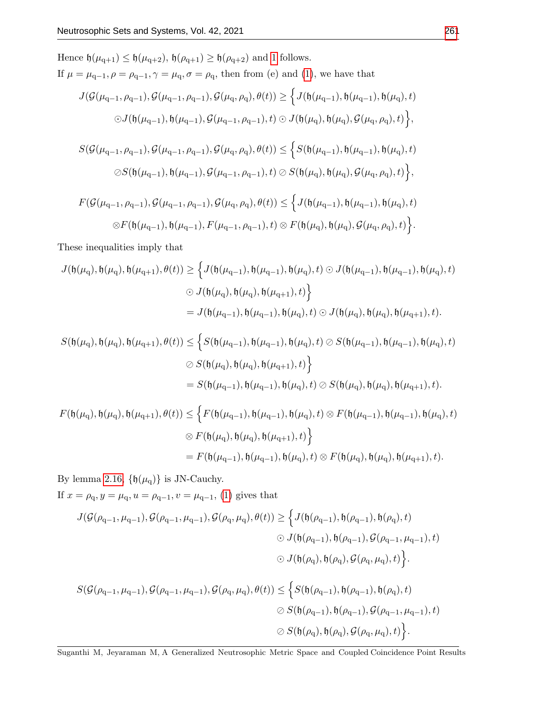Hence 
$$
\mathfrak{h}(\mu_{q+1}) \leq \mathfrak{h}(\mu_{q+2}), \mathfrak{h}(\rho_{q+1}) \geq \mathfrak{h}(\rho_{q+2})
$$
 and 1 follows.  
\nIf  $\mu = \mu_{q-1}, \rho = \rho_{q-1}, \gamma = \mu_q, \sigma = \rho_q$ , then from (e) and (1), we have that  
\n
$$
J(\mathcal{G}(\mu_{q-1}, \rho_{q-1}), \mathcal{G}(\mu_{q-1}, \rho_{q-1}), \mathcal{G}(\mu_q, \rho_q), \theta(t)) \geq \Big\{ J(\mathfrak{h}(\mu_{q-1}), \mathfrak{h}(\mu_{q-1}), \mathfrak{h}(\mu_q), t)
$$
\n
$$
\odot J(\mathfrak{h}(\mu_{q-1}), \mathfrak{h}(\mu_{q-1}), \mathcal{G}(\mu_{q-1}, \rho_{q-1}), t) \odot J(\mathfrak{h}(\mu_q), \mathfrak{h}(\mu_q), \mathcal{G}(\mu_q, \rho_q), t) \Big\},
$$
\n
$$
S(\mathcal{G}(\mu_{q-1}, \rho_{q-1}), \mathcal{G}(\mu_{q-1}, \rho_{q-1}), \mathcal{G}(\mu_q, \rho_q), \theta(t)) \leq \Big\{ S(\mathfrak{h}(\mu_{q-1}), \mathfrak{h}(\mu_{q-1}), \mathfrak{h}(\mu_q), t)
$$
\n
$$
\oslash S(\mathfrak{h}(\mu_{q-1}), \mathfrak{h}(\mu_{q-1}), \mathcal{G}(\mu_{q-1}, \rho_{q-1}), t) \oslash S(\mathfrak{h}(\mu_q), \mathfrak{h}(\mu_q), \mathcal{G}(\mu_q, \rho_q), t) \Big\},
$$
\n
$$
F(\mathcal{G}(\mu_{q-1}, \rho_{q-1}), \mathcal{G}(\mu_{q-1}, \rho_{q-1}), \mathcal{G}(\mu_q, \rho_q), \theta(t)) \leq \Big\{ J(\mathfrak{h}(\mu_{q-1}), \mathfrak{h}(\mu_{q-1}), \mathfrak{h}(\mu_q), t)
$$
\n
$$
\otimes F(\mathfrak{h}(\mu_{q-1}), \mathfrak{h}(\mu_{q-1}), F(\mu_{q-1}, \rho_{q-1}), t) \otimes F(\mathfrak{h}
$$

These inequalities imply that

$$
J(\mathfrak{h}(\mu_q),\mathfrak{h}(\mu_q),\mathfrak{h}(\mu_{q+1}),\theta(t))\geq \Big\{J(\mathfrak{h}(\mu_{q-1}),\mathfrak{h}(\mu_{q-1}),\mathfrak{h}(\mu_q),t)\odot J(\mathfrak{h}(\mu_{q-1}),\mathfrak{h}(\mu_{q-1}),\mathfrak{h}(\mu_q),t)\Big\}
$$
  

$$
\odot J(\mathfrak{h}(\mu_q),\mathfrak{h}(\mu_q),\mathfrak{h}(\mu_{q+1}),t)\Big\}
$$
  

$$
=J(\mathfrak{h}(\mu_{q-1}),\mathfrak{h}(\mu_{q-1}),\mathfrak{h}(\mu_q),t)\odot J(\mathfrak{h}(\mu_q),\mathfrak{h}(\mu_q),\mathfrak{h}(\mu_{q+1}),t).
$$

$$
\begin{aligned} S(\mathfrak{h}(\mu_{\mathbf{q}}),\mathfrak{h}(\mu_{\mathbf{q}}),\mathfrak{h}(\mu_{\mathbf{q}+1}),\theta(t)) & \leq \Big\{ S(\mathfrak{h}(\mu_{\mathbf{q}-1}),\mathfrak{h}(\mu_{\mathbf{q}-1}),\mathfrak{h}(\mu_{\mathbf{q}}),t) \oslash S(\mathfrak{h}(\mu_{\mathbf{q}-1}),\mathfrak{h}(\mu_{\mathbf{q}-1}),\mathfrak{h}(\mu_{\mathbf{q}}),t) \\ & \oslash S(\mathfrak{h}(\mu_{\mathbf{q}}),\mathfrak{h}(\mu_{\mathbf{q}}),\mathfrak{h}(\mu_{\mathbf{q}+1}),t) \Big\} \\ & = S(\mathfrak{h}(\mu_{\mathbf{q}-1}),\mathfrak{h}(\mu_{\mathbf{q}-1}),\mathfrak{h}(\mu_{\mathbf{q}}),t) \oslash S(\mathfrak{h}(\mu_{\mathbf{q}}),\mathfrak{h}(\mu_{\mathbf{q}}),\mathfrak{h}(\mu_{\mathbf{q}+1}),t). \end{aligned}
$$

$$
F(\mathfrak{h}(\mu_q), \mathfrak{h}(\mu_q), \mathfrak{h}(\mu_{q+1}), \theta(t)) \leq \left\{ F(\mathfrak{h}(\mu_{q-1}), \mathfrak{h}(\mu_{q-1}), \mathfrak{h}(\mu_q), t) \otimes F(\mathfrak{h}(\mu_{q-1}), \mathfrak{h}(\mu_{q-1}), \mathfrak{h}(\mu_q), t) \right\}
$$
  

$$
\otimes F(\mathfrak{h}(\mu_q), \mathfrak{h}(\mu_q), \mathfrak{h}(\mu_{q+1}), t) \right\}
$$
  

$$
= F(\mathfrak{h}(\mu_{q-1}), \mathfrak{h}(\mu_{q-1}), \mathfrak{h}(\mu_q), t) \otimes F(\mathfrak{h}(\mu_q), \mathfrak{h}(\mu_q), \mathfrak{h}(\mu_{q+1}), t).
$$

By lemma [2.16,](#page-6-0)  $\{\mathfrak{h}(\mu_q)\}\$ is JN-Cauchy.

If  $x=\rho_{\text{q}}, y=\mu_{\text{q}}, u=\rho_{\text{q}-1}, v=\mu_{\text{q}-1},$  [\(1\)](#page-7-0) gives that

$$
J(\mathcal{G}(\rho_{q-1}, \mu_{q-1}), \mathcal{G}(\rho_{q-1}, \mu_{q-1}), \mathcal{G}(\rho_q, \mu_q), \theta(t)) \ge \Big\{ J(\mathfrak{h}(\rho_{q-1}), \mathfrak{h}(\rho_{q-1}), \mathfrak{h}(\rho_q), t) \Big\}
$$
  

$$
\odot J(\mathfrak{h}(\rho_{q-1}), \mathfrak{h}(\rho_{q-1}), \mathcal{G}(\rho_{q-1}, \mu_{q-1}), t)
$$
  

$$
\odot J(\mathfrak{h}(\rho_q), \mathfrak{h}(\rho_q), \mathcal{G}(\rho_q, \mu_q), t) \Big\}.
$$

$$
S(\mathcal{G}(\rho_{q-1}, \mu_{q-1}), \mathcal{G}(\rho_{q-1}, \mu_{q-1}), \mathcal{G}(\rho_q, \mu_q), \theta(t)) \leq \Big\{ S(\mathfrak{h}(\rho_{q-1}), \mathfrak{h}(\rho_{q-1}), \mathfrak{h}(\rho_q), t) \Big\}
$$
  

$$
\oslash S(\mathfrak{h}(\rho_{q-1}), \mathfrak{h}(\rho_{q-1}), \mathcal{G}(\rho_{q-1}, \mu_{q-1}), t)
$$
  

$$
\oslash S(\mathfrak{h}(\rho_q), \mathfrak{h}(\rho_q), \mathcal{G}(\rho_q, \mu_q), t) \Big\}.
$$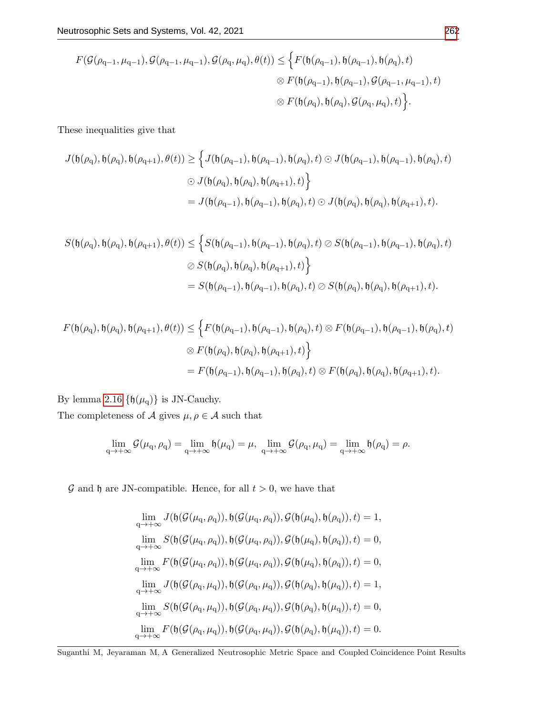$$
F(\mathcal{G}(\rho_{q-1}, \mu_{q-1}), \mathcal{G}(\rho_{q-1}, \mu_{q-1}), \mathcal{G}(\rho_q, \mu_q), \theta(t)) \leq \Big\{ F(\mathfrak{h}(\rho_{q-1}), \mathfrak{h}(\rho_{q-1}), \mathfrak{h}(\rho_q), t) \Big\} \n\otimes F(\mathfrak{h}(\rho_{q-1}), \mathfrak{h}(\rho_{q-1}), \mathcal{G}(\rho_{q-1}, \mu_{q-1}), t) \n\otimes F(\mathfrak{h}(\rho_q), \mathfrak{h}(\rho_q), \mathcal{G}(\rho_q, \mu_q), t) \Big\}.
$$

These inequalities give that

$$
J(\mathfrak{h}(\rho_q), \mathfrak{h}(\rho_q), \mathfrak{h}(\rho_{q+1}), \theta(t)) \ge \left\{ J(\mathfrak{h}(\rho_{q-1}), \mathfrak{h}(\rho_{q-1}), \mathfrak{h}(\rho_q), t) \odot J(\mathfrak{h}(\rho_{q-1}), \mathfrak{h}(\rho_{q-1}), \mathfrak{h}(\rho_q), t) \right\}
$$
  

$$
\odot J(\mathfrak{h}(\rho_q), \mathfrak{h}(\rho_q), \mathfrak{h}(\rho_{q+1}), t) \right\}
$$
  

$$
= J(\mathfrak{h}(\rho_{q-1}), \mathfrak{h}(\rho_{q-1}), \mathfrak{h}(\rho_q), t) \odot J(\mathfrak{h}(\rho_q), \mathfrak{h}(\rho_q), \mathfrak{h}(\rho_{q+1}), t).
$$

$$
S(\mathfrak{h}(\rho_{q}), \mathfrak{h}(\rho_{q}), \mathfrak{h}(\rho_{q+1}), \theta(t)) \leq \Big\{ S(\mathfrak{h}(\rho_{q-1}), \mathfrak{h}(\rho_{q-1}), \mathfrak{h}(\rho_{q}), t) \oslash S(\mathfrak{h}(\rho_{q-1}), \mathfrak{h}(\rho_{q-1}), \mathfrak{h}(\rho_{q}), t) \Big\}
$$
  

$$
\oslash S(\mathfrak{h}(\rho_{q}), \mathfrak{h}(\rho_{q}), \mathfrak{h}(\rho_{q+1}), t) \Big\}
$$
  

$$
= S(\mathfrak{h}(\rho_{q-1}), \mathfrak{h}(\rho_{q-1}), \mathfrak{h}(\rho_{q}), t) \oslash S(\mathfrak{h}(\rho_{q}), \mathfrak{h}(\rho_{q}), \mathfrak{h}(\rho_{q+1}), t).
$$

$$
\begin{aligned} F(\mathfrak{h}(\rho_{\rm q}),\mathfrak{h}(\rho_{\rm q}),\mathfrak{h}(\rho_{\rm q+1}),\theta(t)) &\leq \Big\{ F(\mathfrak{h}(\rho_{\rm q-1}),\mathfrak{h}(\rho_{\rm q-1}),\mathfrak{h}(\rho_{\rm q}),t) \otimes F(\mathfrak{h}(\rho_{\rm q-1}),\mathfrak{h}(\rho_{\rm q-1}),\mathfrak{h}(\rho_{\rm q}),t) \\ &\otimes F(\mathfrak{h}(\rho_{\rm q}),\mathfrak{h}(\rho_{\rm q}),\mathfrak{h}(\rho_{\rm q+1}),t) \Big\} \\ &= F(\mathfrak{h}(\rho_{\rm q-1}),\mathfrak{h}(\rho_{\rm q-1}),\mathfrak{h}(\rho_{\rm q}),t) \otimes F(\mathfrak{h}(\rho_{\rm q}),\mathfrak{h}(\rho_{\rm q}),\mathfrak{h}(\rho_{\rm q+1}),t). \end{aligned}
$$

By lemma [2.16](#page-6-0)  $\{\mathfrak{h}(\mu_q)\}$  is JN-Cauchy.

The completeness of  $\mathcal A$  gives  $\mu,\rho\in\mathcal A$  such that

$$
\lim_{q \to +\infty} \mathcal{G}(\mu_q, \rho_q) = \lim_{q \to +\infty} \mathfrak{h}(\mu_q) = \mu, \ \lim_{q \to +\infty} \mathcal{G}(\rho_q, \mu_q) = \lim_{q \to +\infty} \mathfrak{h}(\rho_q) = \rho.
$$

 ${\mathcal G}$  and  ${\mathfrak h}$  are JN-compatible. Hence, for all  $t>0,$  we have that

$$
\begin{aligned} &\lim_{q\to+\infty}J(\mathfrak{h}(\mathcal{G}(\mu_{q},\rho_{q})),\mathfrak{h}(\mathcal{G}(\mu_{q},\rho_{q})),\mathcal{G}(\mathfrak{h}(\mu_{q}),\mathfrak{h}(\rho_{q})),t)=1,\\ &\lim_{q\to+\infty}S(\mathfrak{h}(\mathcal{G}(\mu_{q},\rho_{q})),\mathfrak{h}(\mathcal{G}(\mu_{q},\rho_{q})),\mathcal{G}(\mathfrak{h}(\mu_{q}),\mathfrak{h}(\rho_{q})),t)=0,\\ &\lim_{q\to+\infty}F(\mathfrak{h}(\mathcal{G}(\mu_{q},\rho_{q})),\mathfrak{h}(\mathcal{G}(\mu_{q},\rho_{q})),\mathcal{G}(\mathfrak{h}(\mu_{q}),\mathfrak{h}(\rho_{q})),t)=0,\\ &\lim_{q\to+\infty}J(\mathfrak{h}(\mathcal{G}(\rho_{q},\mu_{q})),\mathfrak{h}(\mathcal{G}(\rho_{q},\mu_{q})),\mathcal{G}(\mathfrak{h}(\rho_{q}),\mathfrak{h}(\mu_{q})),t)=1,\\ &\lim_{q\to+\infty}S(\mathfrak{h}(\mathcal{G}(\rho_{q},\mu_{q})),\mathfrak{h}(\mathcal{G}(\rho_{q},\mu_{q})),\mathcal{G}(\mathfrak{h}(\rho_{q}),\mathfrak{h}(\mu_{q})),t)=0,\\ &\lim_{q\to+\infty}F(\mathfrak{h}(\mathcal{G}(\rho_{q},\mu_{q})),\mathfrak{h}(\mathcal{G}(\rho_{q},\mu_{q})),\mathcal{G}(\mathfrak{h}(\rho_{q}),\mathfrak{h}(\mu_{q})),t)=0. \end{aligned}
$$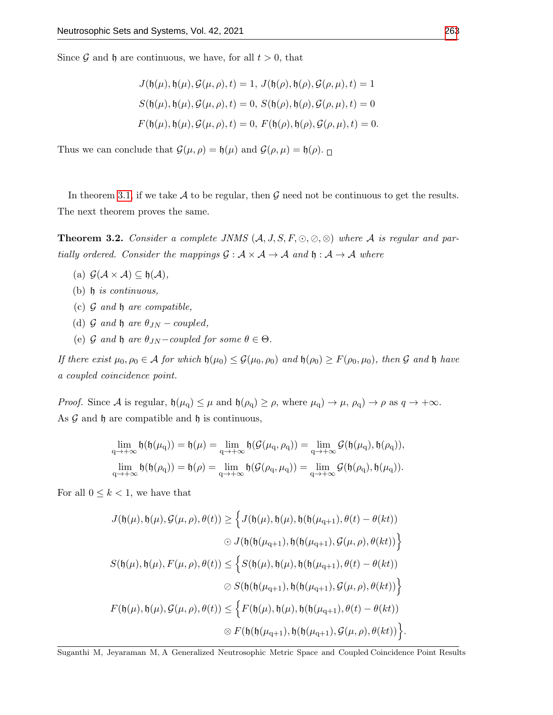Since  $\mathcal G$  and  $\mathfrak h$  are continuous, we have, for all  $t > 0$ , that

$$
J(\mathfrak{h}(\mu), \mathfrak{h}(\mu), \mathcal{G}(\mu, \rho), t) = 1, J(\mathfrak{h}(\rho), \mathfrak{h}(\rho), \mathcal{G}(\rho, \mu), t) = 1
$$
  

$$
S(\mathfrak{h}(\mu), \mathfrak{h}(\mu), \mathcal{G}(\mu, \rho), t) = 0, S(\mathfrak{h}(\rho), \mathfrak{h}(\rho), \mathcal{G}(\rho, \mu), t) = 0
$$
  

$$
F(\mathfrak{h}(\mu), \mathfrak{h}(\mu), \mathcal{G}(\mu, \rho), t) = 0, F(\mathfrak{h}(\rho), \mathfrak{h}(\rho), \mathcal{G}(\rho, \mu), t) = 0.
$$

Thus we can conclude that  $\mathcal{G}(\mu,\rho) = \mathfrak{h}(\mu)$  and  $\mathcal{G}(\rho,\mu) = \mathfrak{h}(\rho)$ .

In theorem [3.1,](#page-7-1) if we take A to be regular, then G need not be continuous to get the results. The next theorem proves the same.

**Theorem 3.2.** Consider a complete JNMS  $(A, J, S, F, \odot, \odot, \otimes)$  where A is regular and partially ordered. Consider the mappings  $\mathcal{G} : \mathcal{A} \times \mathcal{A} \to \mathcal{A}$  and  $\mathfrak{h} : \mathcal{A} \to \mathcal{A}$  where

- (a)  $\mathcal{G}(\mathcal{A} \times \mathcal{A}) \subseteq \mathfrak{h}(\mathcal{A}),$
- (b)  $\mathfrak h$  is continuous,
- (c)  $\mathcal G$  and  $\mathfrak h$  are compatible,
- (d)  $\mathcal G$  and  $\mathfrak h$  are  $\theta_{JN}$  coupled,
- (e) G and h are  $\theta_{JN}$  coupled for some  $\theta \in \Theta$ .

If there exist  $\mu_0, \rho_0 \in A$  for which  $\mathfrak{h}(\mu_0) \leq \mathcal{G}(\mu_0, \rho_0)$  and  $\mathfrak{h}(\rho_0) \geq F(\rho_0, \mu_0)$ , then G and  $\mathfrak{h}$  have a coupled coincidence point.

Proof. Since A is regular,  $\mathfrak{h}(\mu_q) \leq \mu$  and  $\mathfrak{h}(\rho_q) \geq \rho$ , where  $\mu_q$ )  $\rightarrow \mu$ ,  $\rho_q$ )  $\rightarrow \rho$  as  $q \rightarrow +\infty$ . As  $\mathcal G$  and  $\mathfrak h$  are compatible and  $\mathfrak h$  is continuous,

$$
\lim_{q \to +\infty} \mathfrak{h}(\mathfrak{h}(\mu_q)) = \mathfrak{h}(\mu) = \lim_{q \to +\infty} \mathfrak{h}(\mathcal{G}(\mu_q, \rho_q)) = \lim_{q \to +\infty} \mathcal{G}(\mathfrak{h}(\mu_q), \mathfrak{h}(\rho_q)),
$$
  

$$
\lim_{q \to +\infty} \mathfrak{h}(\mathfrak{h}(\rho_q)) = \mathfrak{h}(\rho) = \lim_{q \to +\infty} \mathfrak{h}(\mathcal{G}(\rho_q, \mu_q)) = \lim_{q \to +\infty} \mathcal{G}(\mathfrak{h}(\rho_q), \mathfrak{h}(\mu_q)).
$$

For all  $0 \leq k < 1$ , we have that

$$
J(\mathfrak{h}(\mu), \mathfrak{h}(\mu), \mathcal{G}(\mu, \rho), \theta(t)) \geq \Big\{ J(\mathfrak{h}(\mu), \mathfrak{h}(\mu), \mathfrak{h}(\mathfrak{h}(\mu_{q+1}), \theta(t) - \theta(kt))
$$
  

$$
\odot J(\mathfrak{h}(\mathfrak{h}(\mu_{q+1}), \mathfrak{h}(\mathfrak{h}(\mu_{q+1}), \mathcal{G}(\mu, \rho), \theta(kt))) \Big\}
$$
  

$$
S(\mathfrak{h}(\mu), \mathfrak{h}(\mu), F(\mu, \rho), \theta(t)) \leq \Big\{ S(\mathfrak{h}(\mu), \mathfrak{h}(\mu), \mathfrak{h}(\mathfrak{h}(\mu_{q+1}), \theta(t) - \theta(kt))
$$
  

$$
\odot S(\mathfrak{h}(\mathfrak{h}(\mu_{q+1}), \mathfrak{h}(\mathfrak{h}(\mu_{q+1}), \mathcal{G}(\mu, \rho), \theta(kt))) \Big\}
$$
  

$$
F(\mathfrak{h}(\mu), \mathfrak{h}(\mu), \mathcal{G}(\mu, \rho), \theta(t)) \leq \Big\{ F(\mathfrak{h}(\mu), \mathfrak{h}(\mu), \mathfrak{h}(\mathfrak{h}(\mu_{q+1}), \theta(t) - \theta(kt))
$$
  

$$
\odot F(\mathfrak{h}(\mathfrak{h}(\mu_{q+1}), \mathfrak{h}(\mathfrak{h}(\mu_{q+1}), \mathcal{G}(\mu, \rho), \theta(kt)) \Big\}.
$$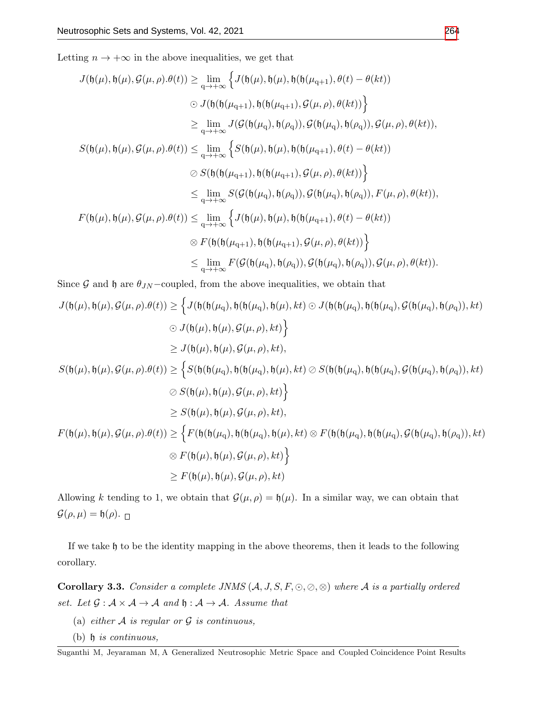Letting  $n \to +\infty$  in the above inequalities, we get that

$$
J(\mathfrak{h}(\mu), \mathfrak{h}(\mu), \mathcal{G}(\mu, \rho).\theta(t)) \geq \lim_{q \to +\infty} \Big\{ J(\mathfrak{h}(\mu), \mathfrak{h}(\mu), \mathfrak{h}(\mathfrak{h}(\mu_{q+1}), \theta(t) - \theta(kt))
$$
  
\n
$$
\odot J(\mathfrak{h}(\mathfrak{h}(\mu_{q+1}), \mathfrak{h}(\mathfrak{h}(\mu_{q+1}), \mathcal{G}(\mu, \rho), \theta(kt))) \Big\}
$$
  
\n
$$
\geq \lim_{q \to +\infty} J(\mathcal{G}(\mathfrak{h}(\mu_{q}), \mathfrak{h}(\rho_{q})), \mathcal{G}(\mathfrak{h}(\mu_{q}), \mathfrak{h}(\rho_{q})), \mathcal{G}(\mu, \rho), \theta(kt)),
$$
  
\n
$$
S(\mathfrak{h}(\mu), \mathfrak{h}(\mu), \mathcal{G}(\mu, \rho).\theta(t)) \leq \lim_{q \to +\infty} \Big\{ S(\mathfrak{h}(\mu), \mathfrak{h}(\mu), \mathfrak{h}(\mathfrak{h}(\mu_{q+1}), \theta(t) - \theta(kt))
$$
  
\n
$$
\odot S(\mathfrak{h}(\mathfrak{h}(\mu_{q+1}), \mathfrak{h}(\mathfrak{h}(\mu_{q+1}), \mathcal{G}(\mu, \rho), \theta(kt))) \Big\}
$$
  
\n
$$
\leq \lim_{q \to +\infty} S(\mathcal{G}(\mathfrak{h}(\mu_{q}), \mathfrak{h}(\rho_{q})), \mathcal{G}(\mathfrak{h}(\mu_{q}), \mathfrak{h}(\rho_{q})), F(\mu, \rho), \theta(kt)),
$$
  
\n
$$
F(\mathfrak{h}(\mu), \mathfrak{h}(\mu), \mathcal{G}(\mu, \rho).\theta(t)) \leq \lim_{q \to +\infty} \Big\{ J(\mathfrak{h}(\mu), \mathfrak{h}(\mu), \mathfrak{h}(\mu_{q+1}), \theta(t) - \theta(kt))
$$
  
\n
$$
\otimes F(\mathfrak{h}(\mathfrak{h}(\mu_{q+1}), \mathfrak{h}(\mathfrak{h}(\mu_{q+1}), \mathcal{G}(\mu
$$

Since G and h are  $\theta_{JN}$  –coupled, from the above inequalities, we obtain that

$$
J(\mathfrak{h}(\mu), \mathfrak{h}(\mu), \mathcal{G}(\mu, \rho).\theta(t)) \geq \left\{ J(\mathfrak{h}(\mathfrak{h}(\mu_q), \mathfrak{h}(\mathfrak{h}(\mu_q), \mathfrak{h}(\mu), kt) \odot J(\mathfrak{h}(\mathfrak{h}(\mu_q), \mathfrak{h}(\mathfrak{h}(\mu_q), \mathfrak{h}(\mathfrak{h}(\mu_q), \mathfrak{h}(\mu_q), \mathfrak{h}(\rho_q)), kt) \right\}
$$
  
\n
$$
\leq J(\mathfrak{h}(\mu), \mathfrak{h}(\mu), \mathcal{G}(\mu, \rho), kt),
$$
  
\n
$$
S(\mathfrak{h}(\mu), \mathfrak{h}(\mu), \mathcal{G}(\mu, \rho).\theta(t)) \geq \left\{ S(\mathfrak{h}(\mathfrak{h}(\mu_q), \mathfrak{h}(\mathfrak{h}(\mu_q), \mathfrak{h}(\mu), kt) \oslash S(\mathfrak{h}(\mathfrak{h}(\mu_q), \mathfrak{h}(\mathfrak{h}(\mu_q), \mathfrak{h}(\rho_q)), kt) \right\}
$$
  
\n
$$
\leq S(\mathfrak{h}(\mu), \mathfrak{h}(\mu), \mathcal{G}(\mu, \rho), kt),
$$
  
\n
$$
\geq S(\mathfrak{h}(\mu), \mathfrak{h}(\mu), \mathcal{G}(\mu, \rho), kt),
$$
  
\n
$$
F(\mathfrak{h}(\mu), \mathfrak{h}(\mu), \mathcal{G}(\mu, \rho), \mathfrak{h}(\mu_q), \mathfrak{h}(\mu_q), \mathfrak{h}(\mu_q), \mathfrak{h}(\mu_q), \mathfrak{h}(\mathfrak{h}(\mu_q), \mathfrak{h}(\mu_q), \mathfrak{h}(\rho_q)), kt)
$$
  
\n
$$
\geq F(\mathfrak{h}(\mu), \mathfrak{h}(\mu), \mathcal{G}(\mu, \rho), kt) \right\}
$$
  
\n
$$
\geq F(\mathfrak{h}(\mu), \mathfrak{h}(\mu), \mathcal{G}(\mu, \rho), kt)
$$
  
\n
$$
\geq F(\mathfrak{h}(\mu), \mathfrak{h}(\mu), \mathcal{G}(\mu, \
$$

Allowing k tending to 1, we obtain that  $\mathcal{G}(\mu,\rho) = \mathfrak{h}(\mu)$ . In a similar way, we can obtain that  $\mathcal{G}(\rho,\mu)=\mathfrak{h}(\rho).$   $\Box$ 

If we take h to be the identity mapping in the above theorems, then it leads to the following corollary.

**Corollary 3.3.** Consider a complete JNMS  $(A, J, S, F, \odot, \odot, \otimes)$  where A is a partially ordered set. Let  $\mathcal{G} : \mathcal{A} \times \mathcal{A} \rightarrow \mathcal{A}$  and  $\mathfrak{h} : \mathcal{A} \rightarrow \mathcal{A}$ . Assume that

- (a) either  $A$  is regular or  $G$  is continuous,
- (b)  $\mathfrak h$  is continuous,

Suganthi M, Jeyaraman M, A Generalized Neutrosophic Metric Space and Coupled Coincidence Point Results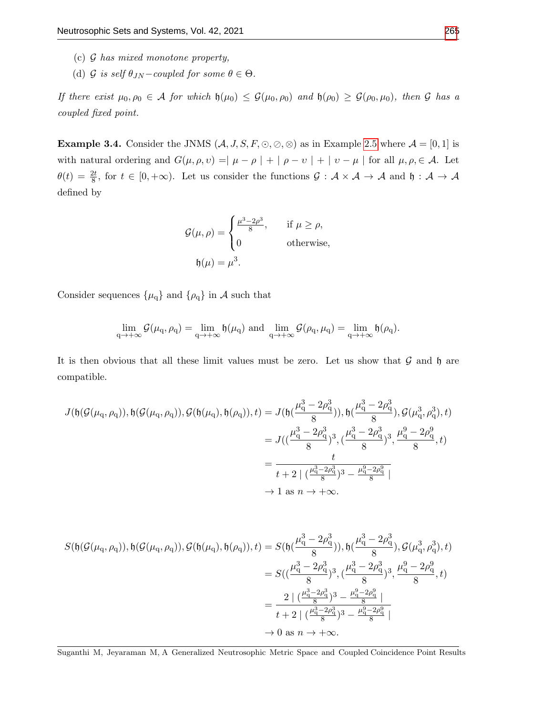- (c) G has mixed monotone property,
- (d) G is self  $\theta_{JN}$  coupled for some  $\theta \in \Theta$ .

If there exist  $\mu_0, \rho_0 \in A$  for which  $\mathfrak{h}(\mu_0) \leq \mathcal{G}(\mu_0, \rho_0)$  and  $\mathfrak{h}(\rho_0) \geq \mathcal{G}(\rho_0, \mu_0)$ , then  $\mathcal G$  has a coupled fixed point.

**Example 3.4.** Consider the JNMS  $(A, J, S, F, \odot, \odot, \odot)$  as in Example [2.5](#page-3-0) where  $\mathcal{A} = [0, 1]$  is with natural ordering and  $G(\mu, \rho, \nu) = |\mu - \rho| + |\rho - \nu| + |\nu - \mu|$  for all  $\mu, \rho \in \mathcal{A}$ . Let  $\theta(t) = \frac{2t}{8}$ , for  $t \in [0, +\infty)$ . Let us consider the functions  $\mathcal{G} : \mathcal{A} \times \mathcal{A} \to \mathcal{A}$  and  $\mathfrak{h} : \mathcal{A} \to \mathcal{A}$ defined by

$$
\mathcal{G}(\mu,\rho) = \begin{cases} \frac{\mu^3 - 2\rho^3}{8}, & \text{if } \mu \ge \rho, \\ 0 & \text{otherwise,} \end{cases}
$$
  

$$
\mathfrak{h}(\mu) = \mu^3.
$$

Consider sequences  $\{\mu_q\}$  and  $\{\rho_q\}$  in A such that

$$
\lim_{q\to +\infty}\mathcal G(\mu_q,\rho_q)=\lim_{q\to +\infty}\mathfrak h(\mu_q)\text{ and }\lim_{q\to +\infty}\mathcal G(\rho_q,\mu_q)=\lim_{q\to +\infty}\mathfrak h(\rho_q).
$$

It is then obvious that all these limit values must be zero. Let us show that  $\mathcal G$  and  $\mathfrak h$  are compatible.

$$
J(\mathfrak{h}(\mathcal{G}(\mu_{\mathbf{q}}, \rho_{\mathbf{q}})), \mathfrak{h}(\mathcal{G}(\mu_{\mathbf{q}}, \rho_{\mathbf{q}})), \mathcal{G}(\mathfrak{h}(\mu_{\mathbf{q}}), \mathfrak{h}(\rho_{\mathbf{q}})), t) = J(\mathfrak{h}(\frac{\mu_{\mathbf{q}}^3 - 2\rho_{\mathbf{q}}^3}{8})), \mathfrak{h}(\frac{\mu_{\mathbf{q}}^3 - 2\rho_{\mathbf{q}}^3}{8}), \mathcal{G}(\mu_{\mathbf{q}}^3, \rho_{\mathbf{q}}^3), t)
$$
  
\n
$$
= J((\frac{\mu_{\mathbf{q}}^3 - 2\rho_{\mathbf{q}}^3}{8})^3, (\frac{\mu_{\mathbf{q}}^3 - 2\rho_{\mathbf{q}}^3}{8})^3, \frac{\mu_{\mathbf{q}}^3 - 2\rho_{\mathbf{q}}^3}{8}, t)
$$
  
\n
$$
= \frac{t}{t + 2 |(\frac{\mu_{\mathbf{q}}^3 - 2\rho_{\mathbf{q}}^3}{8})^3 - \frac{\mu_{\mathbf{q}}^3 - 2\rho_{\mathbf{q}}^3}{8}|}
$$
  
\n
$$
\to 1 \text{ as } n \to +\infty.
$$

$$
S(\mathfrak{h}(\mathcal{G}(\mu_{\mathbf{q}}, \rho_{\mathbf{q}})), \mathfrak{h}(\mathcal{G}(\mu_{\mathbf{q}}, \rho_{\mathbf{q}})), \mathcal{G}(\mathfrak{h}(\mu_{\mathbf{q}}), \mathfrak{h}(\rho_{\mathbf{q}})), t) = S(\mathfrak{h}(\frac{\mu_{\mathbf{q}}^3 - 2\rho_{\mathbf{q}}^3}{8})), \mathfrak{h}(\frac{\mu_{\mathbf{q}}^3 - 2\rho_{\mathbf{q}}^3}{8}), \mathcal{G}(\mu_{\mathbf{q}}^3, \rho_{\mathbf{q}}^3), t)
$$
  
\n
$$
= S((\frac{\mu_{\mathbf{q}}^3 - 2\rho_{\mathbf{q}}^3}{8})^3, (\frac{\mu_{\mathbf{q}}^3 - 2\rho_{\mathbf{q}}^3}{8})^3, \frac{\mu_{\mathbf{q}}^3 - 2\rho_{\mathbf{q}}^3}{8}, t)
$$
  
\n
$$
= \frac{2 |(\frac{\mu_{\mathbf{q}}^3 - 2\rho_{\mathbf{q}}^3}{8})^3 - \frac{\mu_{\mathbf{q}}^9 - 2\rho_{\mathbf{q}}^3}{8} |}{t + 2 |(\frac{\mu_{\mathbf{q}}^3 - 2\rho_{\mathbf{q}}^3}{8})^3 - \frac{\mu_{\mathbf{q}}^9 - 2\rho_{\mathbf{q}}^9}{8} |}
$$
  
\n
$$
\to 0 \text{ as } n \to +\infty.
$$

Suganthi M, Jeyaraman M, A Generalized Neutrosophic Metric Space and Coupled Coincidence Point Results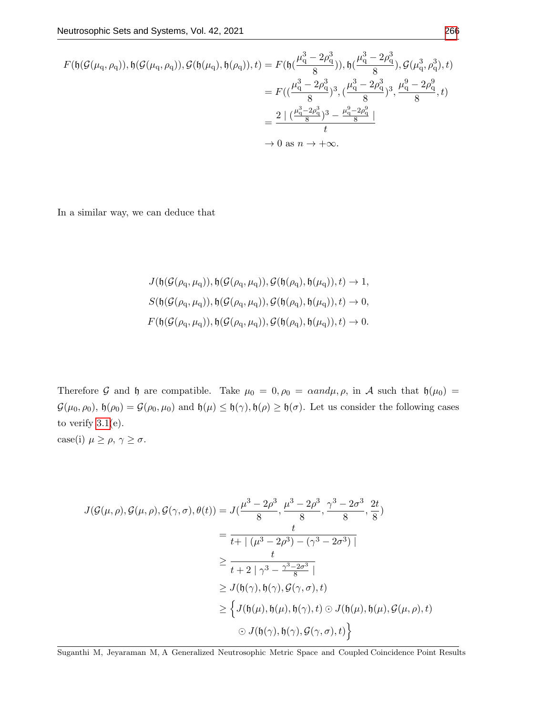$$
F(\mathfrak{h}(\mathcal{G}(\mu_{\mathbf{q}}, \rho_{\mathbf{q}})), \mathfrak{h}(\mathcal{G}(\mu_{\mathbf{q}}, \rho_{\mathbf{q}})), \mathcal{G}(\mathfrak{h}(\mu_{\mathbf{q}}), \mathfrak{h}(\rho_{\mathbf{q}})), t) = F(\mathfrak{h}(\frac{\mu_{\mathbf{q}}^3 - 2\rho_{\mathbf{q}}^3}{8})), \mathfrak{h}(\frac{\mu_{\mathbf{q}}^3 - 2\rho_{\mathbf{q}}^3}{8}), \mathcal{G}(\mu_{\mathbf{q}}^3, \rho_{\mathbf{q}}^3), t)
$$
  
\n
$$
= F((\frac{\mu_{\mathbf{q}}^3 - 2\rho_{\mathbf{q}}^3}{8})^3, (\frac{\mu_{\mathbf{q}}^3 - 2\rho_{\mathbf{q}}^3}{8})^3, \frac{\mu_{\mathbf{q}}^3 - 2\rho_{\mathbf{q}}^3}{8}, t)
$$
  
\n
$$
= \frac{2 |(\frac{\mu_{\mathbf{q}}^3 - 2\rho_{\mathbf{q}}^3}{8})^3 - \frac{\mu_{\mathbf{q}}^3 - 2\rho_{\mathbf{q}}^3}{8}|}{t}
$$
  
\n
$$
\to 0 \text{ as } n \to +\infty.
$$

In a similar way, we can deduce that

$$
J(\mathfrak{h}(\mathcal{G}(\rho_{q},\mu_{q})),\mathfrak{h}(\mathcal{G}(\rho_{q},\mu_{q})),\mathcal{G}(\mathfrak{h}(\rho_{q}),\mathfrak{h}(\mu_{q})),t) \to 1,
$$
  

$$
S(\mathfrak{h}(\mathcal{G}(\rho_{q},\mu_{q})),\mathfrak{h}(\mathcal{G}(\rho_{q},\mu_{q})),\mathcal{G}(\mathfrak{h}(\rho_{q}),\mathfrak{h}(\mu_{q})),t) \to 0,
$$
  

$$
F(\mathfrak{h}(\mathcal{G}(\rho_{q},\mu_{q})),\mathfrak{h}(\mathcal{G}(\rho_{q},\mu_{q})),\mathcal{G}(\mathfrak{h}(\rho_{q}),\mathfrak{h}(\mu_{q})),t) \to 0.
$$

Therefore G and h are compatible. Take  $\mu_0 = 0, \rho_0 = \alpha \text{ and } \mu, \rho$ , in A such that  $\mathfrak{h}(\mu_0) =$  $\mathcal{G}(\mu_0, \rho_0), \mathfrak{h}(\rho_0) = \mathcal{G}(\rho_0, \mu_0)$  and  $\mathfrak{h}(\mu) \leq \mathfrak{h}(\gamma), \mathfrak{h}(\rho) \geq \mathfrak{h}(\sigma)$ . Let us consider the following cases to verify  $3.1(e)$  $3.1(e)$ . case(i)  $\mu\geq\rho,\,\gamma\geq\sigma.$ 

$$
J(\mathcal{G}(\mu,\rho),\mathcal{G}(\mu,\rho),\mathcal{G}(\gamma,\sigma),\theta(t)) = J(\frac{\mu^3 - 2\rho^3}{8}, \frac{\mu^3 - 2\rho^3}{8}, \frac{\gamma^3 - 2\sigma^3}{8}, \frac{2t}{8})
$$
  
\n
$$
= \frac{t}{t + |(\mu^3 - 2\rho^3) - (\gamma^3 - 2\sigma^3)|}
$$
  
\n
$$
\geq \frac{t}{t + 2 | \gamma^3 - \frac{\gamma^3 - 2\sigma^3}{8} |}
$$
  
\n
$$
\geq J(\mathfrak{h}(\gamma), \mathfrak{h}(\gamma), \mathcal{G}(\gamma, \sigma), t)
$$
  
\n
$$
\geq \{J(\mathfrak{h}(\mu), \mathfrak{h}(\mu), \mathfrak{h}(\gamma), t) \odot J(\mathfrak{h}(\mu), \mathfrak{h}(\mu), \mathcal{G}(\mu, \rho), t)
$$
  
\n
$$
\odot J(\mathfrak{h}(\gamma), \mathfrak{h}(\gamma), \mathcal{G}(\gamma, \sigma), t) \}
$$

Suganthi M, Jeyaraman M, A Generalized Neutrosophic Metric Space and Coupled Coincidence Point Results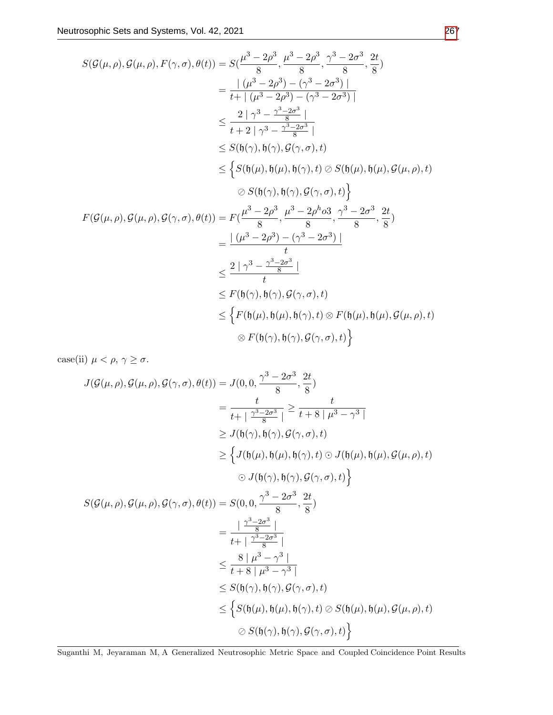$$
S(\mathcal{G}(\mu,\rho),\mathcal{G}(\mu,\rho),F(\gamma,\sigma),\theta(t)) = S(\frac{\mu^{3}-2\rho^{3}}{8},\frac{\mu^{3}-2\rho^{3}}{8},\frac{\gamma^{3}-2\sigma^{3}}{8},\frac{2t}{8})
$$
\n
$$
= \frac{|\ (\mu^{3}-2\rho^{3})-(\gamma^{3}-2\sigma^{3})|}{t+|\ (\mu^{3}-2\rho^{3})-(\gamma^{3}-2\sigma^{3})|}
$$
\n
$$
\leq \frac{2|\ \gamma^{3}-\frac{\gamma^{3}-2\sigma^{3}}{8}|}{t+2|\ \gamma^{3}-\frac{\gamma^{3}-2\sigma^{3}}{8}|}
$$
\n
$$
\leq S(\mathfrak{h}(\gamma),\mathfrak{h}(\gamma),\mathcal{G}(\gamma,\sigma),t)
$$
\n
$$
\leq \left\{S(\mathfrak{h}(\mu),\mathfrak{h}(\mu),\mathfrak{h}(\gamma),t)\oslash S(\mathfrak{h}(\mu),\mathfrak{h}(\mu),\mathcal{G}(\mu,\rho),t)\right\}
$$
\n
$$
\oslash S(\mathfrak{h}(\gamma),\mathfrak{h}(\gamma),\mathcal{G}(\gamma,\sigma),t)\right\}
$$
\n
$$
F(\mathcal{G}(\mu,\rho),\mathcal{G}(\mu,\rho),\mathcal{G}(\gamma,\sigma),\theta(t)) = F(\frac{\mu^{3}-2\rho^{3}}{8},\frac{\mu^{3}-2\rho^{h} \sigma^{3}}{8},\frac{\gamma^{3}-2\sigma^{3}}{8},\frac{2t}{8})
$$
\n
$$
= \frac{|\ (\mu^{3}-2\rho^{3})-(\gamma^{3}-2\sigma^{3})|}{t}
$$
\n
$$
\leq \frac{2|\ \gamma^{3}-\frac{\gamma^{3}-2\sigma^{3}}{8}|}{t}
$$
\n
$$
\leq F(\mathfrak{h}(\gamma),\mathfrak{h}(\gamma),\mathcal{G}(\gamma,\sigma),t)
$$
\n
$$
\leq \left\{F(\mathfrak{h}(\mu),\mathfrak{h}(\mu),\mathfrak{h}(\gamma),t)\otimes F(\mathfrak{h}(\mu),\mathfrak{h}(\mu),\mathcal{G}(\mu,\rho),t)\right\}
$$
\n
$$
\otimes F(\mathfrak{h}(\gamma),\mathfrak{h}(\gamma),
$$

case(ii)  $\mu < \rho, \gamma \ge \sigma$ .

$$
J(\mathcal{G}(\mu,\rho),\mathcal{G}(\mu,\rho),\mathcal{G}(\gamma,\sigma),\theta(t)) = J(0,0,\frac{\gamma^3 - 2\sigma^3}{8},\frac{2t}{8})
$$
  
\n
$$
= \frac{t}{t + |\frac{\gamma^3 - 2\sigma^3}{8}|} \ge \frac{t}{t + 8 |\mu^3 - \gamma^3|}
$$
  
\n
$$
\ge J(\mathfrak{h}(\gamma),\mathfrak{h}(\gamma),\mathcal{G}(\gamma,\sigma),t)
$$
  
\n
$$
\ge \left\{ J(\mathfrak{h}(\mu),\mathfrak{h}(\mu),\mathfrak{h}(\gamma),t) \odot J(\mathfrak{h}(\mu),\mathfrak{h}(\mu),\mathcal{G}(\mu,\rho),t) \right\}
$$
  
\n
$$
S(\mathcal{G}(\mu,\rho),\mathcal{G}(\mu,\rho),\mathcal{G}(\gamma,\sigma),\theta(t)) = S(0,0,\frac{\gamma^3 - 2\sigma^3}{8},\frac{2t}{8})
$$
  
\n
$$
= \frac{|\frac{\gamma^3 - 2\sigma^3}{8}|}{t + |\frac{\gamma^3 - 2\sigma^3}{8}|}
$$
  
\n
$$
\le \frac{8 |\mu^3 - \gamma^3|}{t + 8 |\mu^3 - \gamma^3|}
$$
  
\n
$$
\le S(\mathfrak{h}(\gamma),\mathfrak{h}(\gamma),\mathcal{G}(\gamma,\sigma),t)
$$
  
\n
$$
\le \left\{ S(\mathfrak{h}(\mu),\mathfrak{h}(\mu),\mathfrak{h}(\gamma),t) \oslash S(\mathfrak{h}(\mu),\mathfrak{h}(\mu),\mathcal{G}(\mu,\rho),t) \right\}
$$
  
\n
$$
\otimes S(\mathfrak{h}(\gamma),\mathfrak{h}(\gamma),\mathcal{G}(\gamma,\sigma),t) \right\}
$$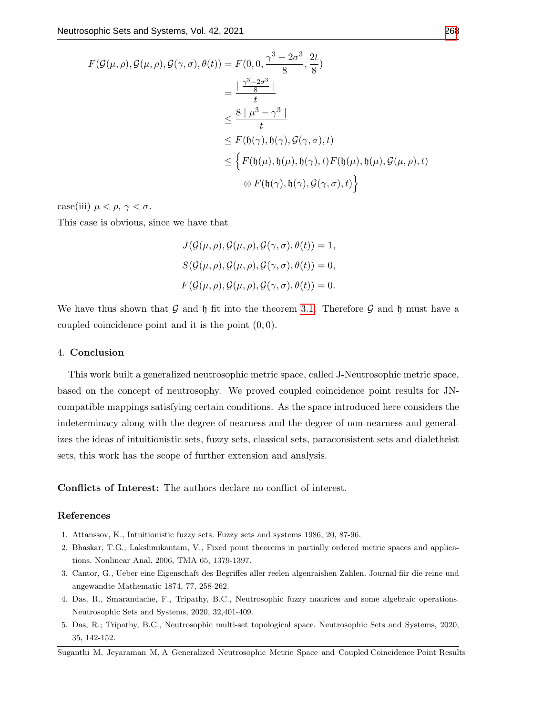$$
F(\mathcal{G}(\mu,\rho),\mathcal{G}(\mu,\rho),\mathcal{G}(\gamma,\sigma),\theta(t)) = F(0,0,\frac{\gamma^3 - 2\sigma^3}{8},\frac{2t}{8})
$$
  
\n
$$
= \frac{\left|\frac{\gamma^3 - 2\sigma^3}{8}\right|}{t}
$$
  
\n
$$
\leq \frac{8|\mu^3 - \gamma^3|}{t}
$$
  
\n
$$
\leq F(\mathfrak{h}(\gamma),\mathfrak{h}(\gamma),\mathcal{G}(\gamma,\sigma),t)
$$
  
\n
$$
\leq \left\{F(\mathfrak{h}(\mu),\mathfrak{h}(\mu),\mathfrak{h}(\gamma),t)F(\mathfrak{h}(\mu),\mathfrak{h}(\mu),\mathcal{G}(\mu,\rho),t)\right\}
$$
  
\n
$$
\otimes F(\mathfrak{h}(\gamma),\mathfrak{h}(\gamma),\mathcal{G}(\gamma,\sigma),t)\right\}
$$

case(iii)  $\mu < \rho, \gamma < \sigma$ .

This case is obvious, since we have that

 $J(\mathcal{G}(\mu,\rho),\mathcal{G}(\mu,\rho),\mathcal{G}(\gamma,\sigma),\theta(t))=1,$  $S(G(\mu, \rho), \mathcal{G}(\mu, \rho), \mathcal{G}(\gamma, \sigma), \theta(t)) = 0,$  $F(\mathcal{G}(\mu,\rho),\mathcal{G}(\mu,\rho),\mathcal{G}(\gamma,\sigma),\theta(t))=0.$ 

We have thus shown that G and h fit into the theorem [3.1.](#page-7-1) Therefore G and h must have a coupled coincidence point and it is the point  $(0, 0)$ .

#### 4. Conclusion

This work built a generalized neutrosophic metric space, called J-Neutrosophic metric space, based on the concept of neutrosophy. We proved coupled coincidence point results for JNcompatible mappings satisfying certain conditions. As the space introduced here considers the indeterminacy along with the degree of nearness and the degree of non-nearness and generalizes the ideas of intuitionistic sets, fuzzy sets, classical sets, paraconsistent sets and dialetheist sets, this work has the scope of further extension and analysis.

Conflicts of Interest: The authors declare no conflict of interest.

### References

- <span id="page-15-1"></span>1. Attanssov, K., Intuitionistic fuzzy sets. Fuzzy sets and systems 1986, 20, 87-96.
- <span id="page-15-3"></span>2. Bhaskar, T.G.; Lakshmikantam, V., Fixed point theorems in partially ordered metric spaces and applications. Nonlinear Anal. 2006, TMA 65, 1379-1397.
- <span id="page-15-0"></span>3. Cantor, G., Ueber eine Eigenschaft des Begriffes aller reelen algenraishen Zahlen. Journal fiir die reine und angewandte Mathematic 1874, 77, 258-262.
- <span id="page-15-2"></span>4. Das, R., Smarandache, F., Tripathy, B.C., Neutrosophic fuzzy matrices and some algebraic operations. Neutrosophic Sets and Systems, 2020, 32,401-409.
- 5. Das, R.; Tripathy, B.C., Neutrosophic multi-set topological space. Neutrosophic Sets and Systems, 2020, 35, 142-152.

Suganthi M, Jeyaraman M, A Generalized Neutrosophic Metric Space and Coupled Coincidence Point Results